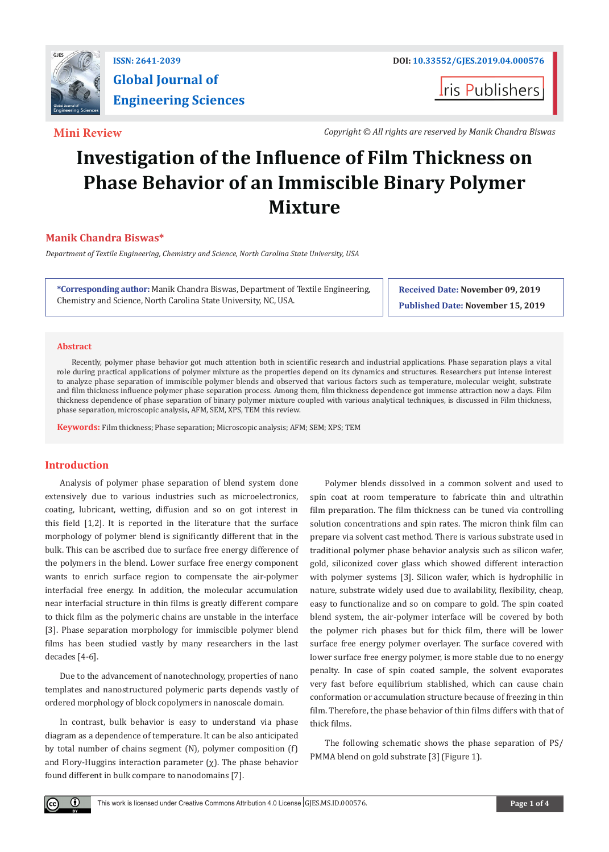

# **Global Journal of Engineering Sciences**

**I**ris Publishers

**Mini Review** *Copyright © All rights are reserved by Manik Chandra Biswas*

## **Investigation of the Influence of Film Thickness on Phase Behavior of an Immiscible Binary Polymer Mixture**

### **Manik Chandra Biswas\***

*Department of Textile Engineering, Chemistry and Science, North Carolina State University, USA*

**\*Corresponding author:** Manik Chandra Biswas, Department of Textile Engineering, Chemistry and Science, North Carolina State University, NC, USA.

**Received Date: November 09, 2019 Published Date: November 15, 2019**

#### **Abstract**

Recently, polymer phase behavior got much attention both in scientific research and industrial applications. Phase separation plays a vital role during practical applications of polymer mixture as the properties depend on its dynamics and structures. Researchers put intense interest to analyze phase separation of immiscible polymer blends and observed that various factors such as temperature, molecular weight, substrate and film thickness influence polymer phase separation process. Among them, film thickness dependence got immense attraction now a days. Film thickness dependence of phase separation of binary polymer mixture coupled with various analytical techniques, is discussed in Film thickness, phase separation, microscopic analysis, AFM, SEM, XPS, TEM this review.

**Keywords:** Film thickness; Phase separation; Microscopic analysis; AFM; SEM; XPS; TEM

#### **Introduction**

 $\left( \cdot \right)$ 

Analysis of polymer phase separation of blend system done extensively due to various industries such as microelectronics, coating, lubricant, wetting, diffusion and so on got interest in this field [1,2]. It is reported in the literature that the surface morphology of polymer blend is significantly different that in the bulk. This can be ascribed due to surface free energy difference of the polymers in the blend. Lower surface free energy component wants to enrich surface region to compensate the air-polymer interfacial free energy. In addition, the molecular accumulation near interfacial structure in thin films is greatly different compare to thick film as the polymeric chains are unstable in the interface [3]. Phase separation morphology for immiscible polymer blend films has been studied vastly by many researchers in the last decades [4-6].

Due to the advancement of nanotechnology, properties of nano templates and nanostructured polymeric parts depends vastly of ordered morphology of block copolymers in nanoscale domain.

In contrast, bulk behavior is easy to understand via phase diagram as a dependence of temperature. It can be also anticipated by total number of chains segment (N), polymer composition (f) and Flory-Huggins interaction parameter  $(\chi)$ . The phase behavior found different in bulk compare to nanodomains [7].

Polymer blends dissolved in a common solvent and used to spin coat at room temperature to fabricate thin and ultrathin film preparation. The film thickness can be tuned via controlling solution concentrations and spin rates. The micron think film can prepare via solvent cast method. There is various substrate used in traditional polymer phase behavior analysis such as silicon wafer, gold, siliconized cover glass which showed different interaction with polymer systems [3]. Silicon wafer, which is hydrophilic in nature, substrate widely used due to availability, flexibility, cheap, easy to functionalize and so on compare to gold. The spin coated blend system, the air-polymer interface will be covered by both the polymer rich phases but for thick film, there will be lower surface free energy polymer overlayer. The surface covered with lower surface free energy polymer, is more stable due to no energy penalty. In case of spin coated sample, the solvent evaporates very fast before equilibrium stablished, which can cause chain conformation or accumulation structure because of freezing in thin film. Therefore, the phase behavior of thin films differs with that of thick films.

The following schematic shows the phase separation of PS/ PMMA blend on gold substrate [3] (Figure 1).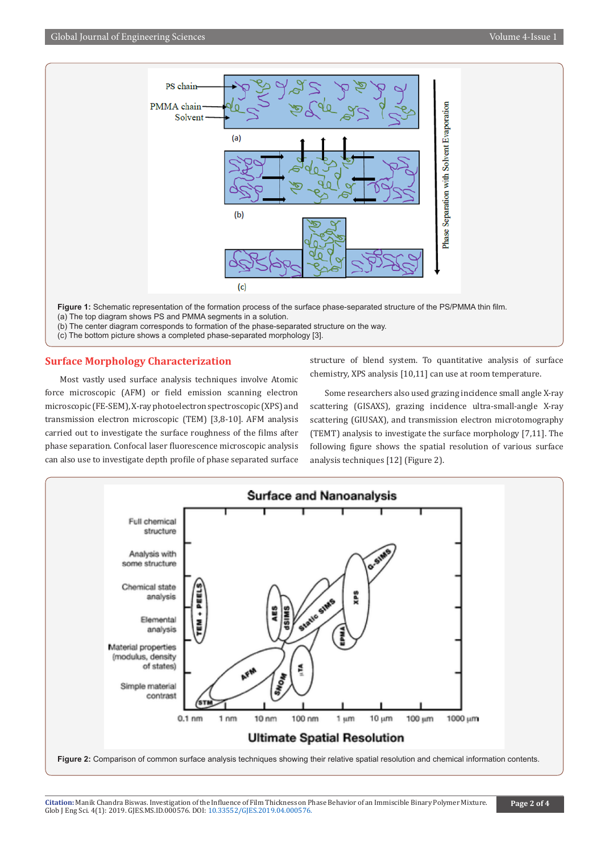

- (a) The top diagram shows PS and PMMA segments in a solution.
- (b) The center diagram corresponds to formation of the phase-separated structure on the way.
- (c) The bottom picture shows a completed phase-separated morphology [3].

#### **Surface Morphology Characterization**

Most vastly used surface analysis techniques involve Atomic force microscopic (AFM) or field emission scanning electron microscopic (FE-SEM), X-ray photoelectron spectroscopic (XPS) and transmission electron microscopic (TEM) [3,8-10]. AFM analysis carried out to investigate the surface roughness of the films after phase separation. Confocal laser fluorescence microscopic analysis can also use to investigate depth profile of phase separated surface structure of blend system. To quantitative analysis of surface chemistry, XPS analysis [10,11] can use at room temperature.

Some researchers also used grazing incidence small angle X-ray scattering (GISAXS), grazing incidence ultra-small-angle X-ray scattering (GIUSAX), and transmission electron microtomography (TEMT) analysis to investigate the surface morphology [7,11]. The following figure shows the spatial resolution of various surface analysis techniques [12] (Figure 2).

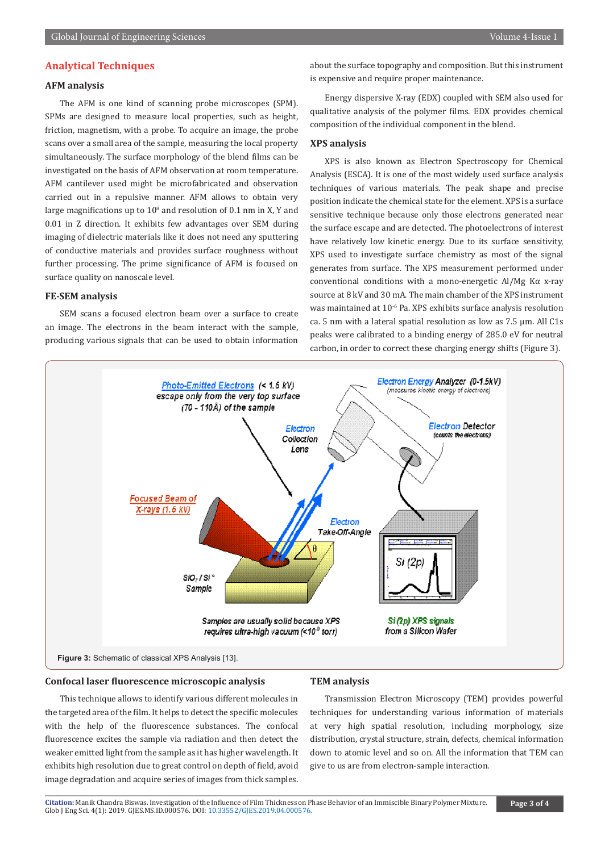#### **Analytical Techniques**

#### **AFM analysis**

The AFM is one kind of scanning probe microscopes (SPM). SPMs are designed to measure local properties, such as height, friction, magnetism, with a probe. To acquire an image, the probe scans over a small area of the sample, measuring the local property simultaneously. The surface morphology of the blend films can be investigated on the basis of AFM observation at room temperature. AFM cantilever used might be microfabricated and observation carried out in a repulsive manner. AFM allows to obtain very large magnifications up to  $10^{\circ}$  and resolution of 0.1 nm in X, Y and 0.01 in Z direction. It exhibits few advantages over SEM during imaging of dielectric materials like it does not need any sputtering of conductive materials and provides surface roughness without further processing. The prime significance of AFM is focused on surface quality on nanoscale level.

#### **FE-SEM analysis**

SEM scans a focused electron beam over a surface to create an image. The electrons in the beam interact with the sample, producing various signals that can be used to obtain information about the surface topography and composition. But this instrument is expensive and require proper maintenance.

Energy dispersive X-ray (EDX) coupled with SEM also used for qualitative analysis of the polymer films. EDX provides chemical composition of the individual component in the blend.

#### **XPS analysis**

XPS is also known as Electron Spectroscopy for Chemical Analysis (ESCA). It is one of the most widely used surface analysis techniques of various materials. The peak shape and precise position indicate the chemical state for the element. XPS is a surface sensitive technique because only those electrons generated near the surface escape and are detected. The photoelectrons of interest have relatively low kinetic energy. Due to its surface sensitivity, XPS used to investigate surface chemistry as most of the signal generates from surface. The XPS measurement performed under conventional conditions with a mono-energetic Al/Mg Kα x-ray source at 8 kV and 30 mA. The main chamber of the XPS instrument was maintained at 10<sup>-6</sup> Pa. XPS exhibits surface analysis resolution ca. 5 nm with a lateral spatial resolution as low as 7.5 μm. All C1s peaks were calibrated to a binding energy of 285.0 eV for neutral carbon, in order to correct these charging energy shifts (Figure 3).



#### **Confocal laser fluorescence microscopic analysis**

#### **TEM analysis**

This technique allows to identify various different molecules in the targeted area of the film. It helps to detect the specific molecules with the help of the fluorescence substances. The confocal fluorescence excites the sample via radiation and then detect the weaker emitted light from the sample as it has higher wavelength. It exhibits high resolution due to great control on depth of field, avoid image degradation and acquire series of images from thick samples.

Transmission Electron Microscopy (TEM) provides powerful techniques for understanding various information of materials at very high spatial resolution, including morphology, size distribution, crystal structure, strain, defects, chemical information down to atomic level and so on. All the information that TEM can give to us are from electron-sample interaction.

**Citation:** Manik Chandra Biswas. Investigation of th[e Influence of Film Thickness on P](http://dx.doi.org/10.33552/GJES.2019.04.000576)hase Behavior of an Immiscible Binary Polymer Mixture. Glob J Eng Sci. 4(1): 2019. GJES.MS.ID.000576. DOI: 10.33552/GJES.2019.04.000576.